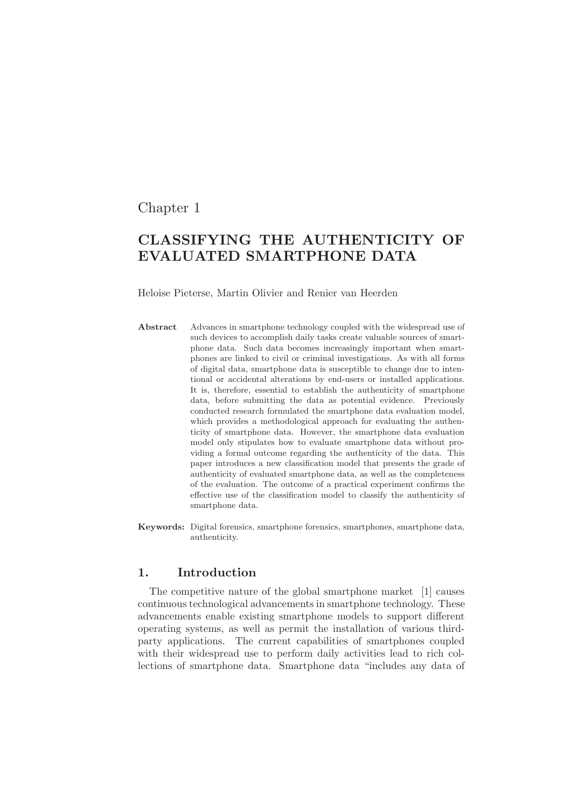# Chapter 1

# CLASSIFYING THE AUTHENTICITY OF EVALUATED SMARTPHONE DATA

Heloise Pieterse, Martin Olivier and Renier van Heerden

- Abstract Advances in smartphone technology coupled with the widespread use of such devices to accomplish daily tasks create valuable sources of smartphone data. Such data becomes increasingly important when smartphones are linked to civil or criminal investigations. As with all forms of digital data, smartphone data is susceptible to change due to intentional or accidental alterations by end-users or installed applications. It is, therefore, essential to establish the authenticity of smartphone data, before submitting the data as potential evidence. Previously conducted research formulated the smartphone data evaluation model, which provides a methodological approach for evaluating the authenticity of smartphone data. However, the smartphone data evaluation model only stipulates how to evaluate smartphone data without providing a formal outcome regarding the authenticity of the data. This paper introduces a new classification model that presents the grade of authenticity of evaluated smartphone data, as well as the completeness of the evaluation. The outcome of a practical experiment confirms the effective use of the classification model to classify the authenticity of smartphone data.
- Keywords: Digital forensics, smartphone forensics, smartphones, smartphone data, authenticity.

## 1. Introduction

The competitive nature of the global smartphone market [1] causes continuous technological advancements in smartphone technology. These advancements enable existing smartphone models to support different operating systems, as well as permit the installation of various thirdparty applications. The current capabilities of smartphones coupled with their widespread use to perform daily activities lead to rich collections of smartphone data. Smartphone data "includes any data of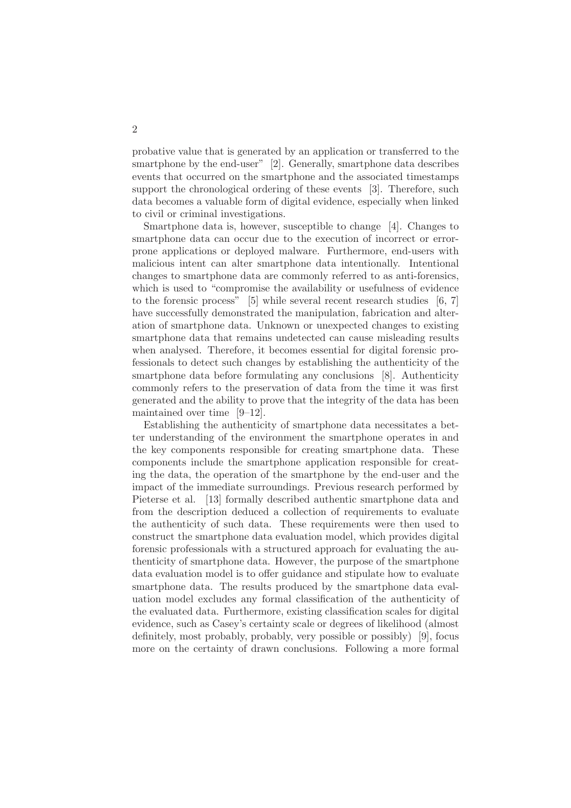probative value that is generated by an application or transferred to the smartphone by the end-user" [2]. Generally, smartphone data describes events that occurred on the smartphone and the associated timestamps support the chronological ordering of these events [3]. Therefore, such data becomes a valuable form of digital evidence, especially when linked to civil or criminal investigations.

Smartphone data is, however, susceptible to change [4]. Changes to smartphone data can occur due to the execution of incorrect or errorprone applications or deployed malware. Furthermore, end-users with malicious intent can alter smartphone data intentionally. Intentional changes to smartphone data are commonly referred to as anti-forensics, which is used to "compromise the availability or usefulness of evidence to the forensic process" [5] while several recent research studies [6, 7] have successfully demonstrated the manipulation, fabrication and alteration of smartphone data. Unknown or unexpected changes to existing smartphone data that remains undetected can cause misleading results when analysed. Therefore, it becomes essential for digital forensic professionals to detect such changes by establishing the authenticity of the smartphone data before formulating any conclusions [8]. Authenticity commonly refers to the preservation of data from the time it was first generated and the ability to prove that the integrity of the data has been maintained over time [9–12].

Establishing the authenticity of smartphone data necessitates a better understanding of the environment the smartphone operates in and the key components responsible for creating smartphone data. These components include the smartphone application responsible for creating the data, the operation of the smartphone by the end-user and the impact of the immediate surroundings. Previous research performed by Pieterse et al. [13] formally described authentic smartphone data and from the description deduced a collection of requirements to evaluate the authenticity of such data. These requirements were then used to construct the smartphone data evaluation model, which provides digital forensic professionals with a structured approach for evaluating the authenticity of smartphone data. However, the purpose of the smartphone data evaluation model is to offer guidance and stipulate how to evaluate smartphone data. The results produced by the smartphone data evaluation model excludes any formal classification of the authenticity of the evaluated data. Furthermore, existing classification scales for digital evidence, such as Casey's certainty scale or degrees of likelihood (almost definitely, most probably, probably, very possible or possibly) [9], focus more on the certainty of drawn conclusions. Following a more formal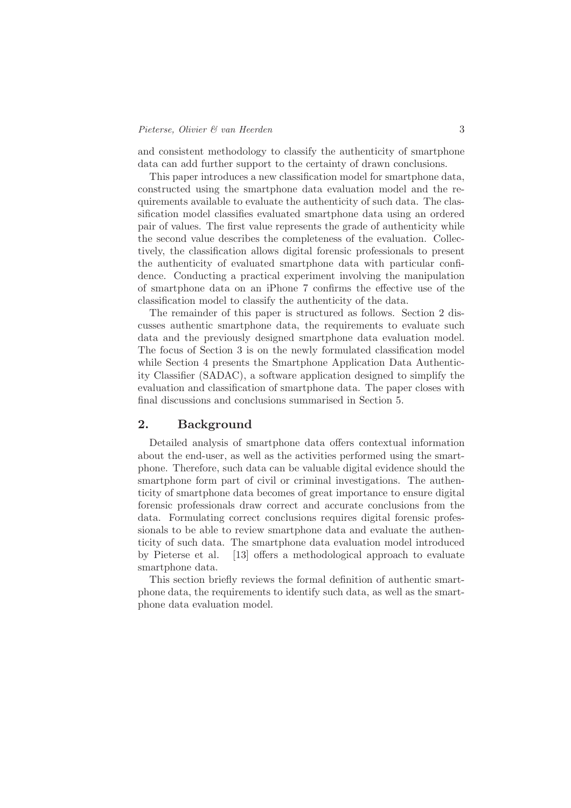and consistent methodology to classify the authenticity of smartphone data can add further support to the certainty of drawn conclusions.

This paper introduces a new classification model for smartphone data, constructed using the smartphone data evaluation model and the requirements available to evaluate the authenticity of such data. The classification model classifies evaluated smartphone data using an ordered pair of values. The first value represents the grade of authenticity while the second value describes the completeness of the evaluation. Collectively, the classification allows digital forensic professionals to present the authenticity of evaluated smartphone data with particular confidence. Conducting a practical experiment involving the manipulation of smartphone data on an iPhone 7 confirms the effective use of the classification model to classify the authenticity of the data.

The remainder of this paper is structured as follows. Section 2 discusses authentic smartphone data, the requirements to evaluate such data and the previously designed smartphone data evaluation model. The focus of Section 3 is on the newly formulated classification model while Section 4 presents the Smartphone Application Data Authenticity Classifier (SADAC), a software application designed to simplify the evaluation and classification of smartphone data. The paper closes with final discussions and conclusions summarised in Section 5.

#### 2. Background

Detailed analysis of smartphone data offers contextual information about the end-user, as well as the activities performed using the smartphone. Therefore, such data can be valuable digital evidence should the smartphone form part of civil or criminal investigations. The authenticity of smartphone data becomes of great importance to ensure digital forensic professionals draw correct and accurate conclusions from the data. Formulating correct conclusions requires digital forensic professionals to be able to review smartphone data and evaluate the authenticity of such data. The smartphone data evaluation model introduced by Pieterse et al. [13] offers a methodological approach to evaluate smartphone data.

This section briefly reviews the formal definition of authentic smartphone data, the requirements to identify such data, as well as the smartphone data evaluation model.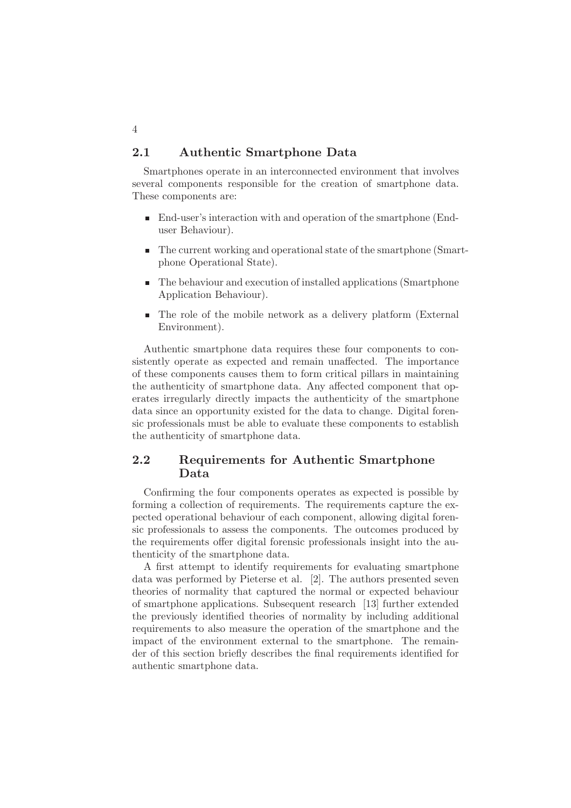## 2.1 Authentic Smartphone Data

Smartphones operate in an interconnected environment that involves several components responsible for the creation of smartphone data. These components are:

- End-user's interaction with and operation of the smartphone (Enduser Behaviour).
- The current working and operational state of the smartphone (Smartphone Operational State).
- The behaviour and execution of installed applications (Smartphone Application Behaviour).
- The role of the mobile network as a delivery platform (External Environment).

Authentic smartphone data requires these four components to consistently operate as expected and remain unaffected. The importance of these components causes them to form critical pillars in maintaining the authenticity of smartphone data. Any affected component that operates irregularly directly impacts the authenticity of the smartphone data since an opportunity existed for the data to change. Digital forensic professionals must be able to evaluate these components to establish the authenticity of smartphone data.

# 2.2 Requirements for Authentic Smartphone Data

Confirming the four components operates as expected is possible by forming a collection of requirements. The requirements capture the expected operational behaviour of each component, allowing digital forensic professionals to assess the components. The outcomes produced by the requirements offer digital forensic professionals insight into the authenticity of the smartphone data.

A first attempt to identify requirements for evaluating smartphone data was performed by Pieterse et al. [2]. The authors presented seven theories of normality that captured the normal or expected behaviour of smartphone applications. Subsequent research [13] further extended the previously identified theories of normality by including additional requirements to also measure the operation of the smartphone and the impact of the environment external to the smartphone. The remainder of this section briefly describes the final requirements identified for authentic smartphone data.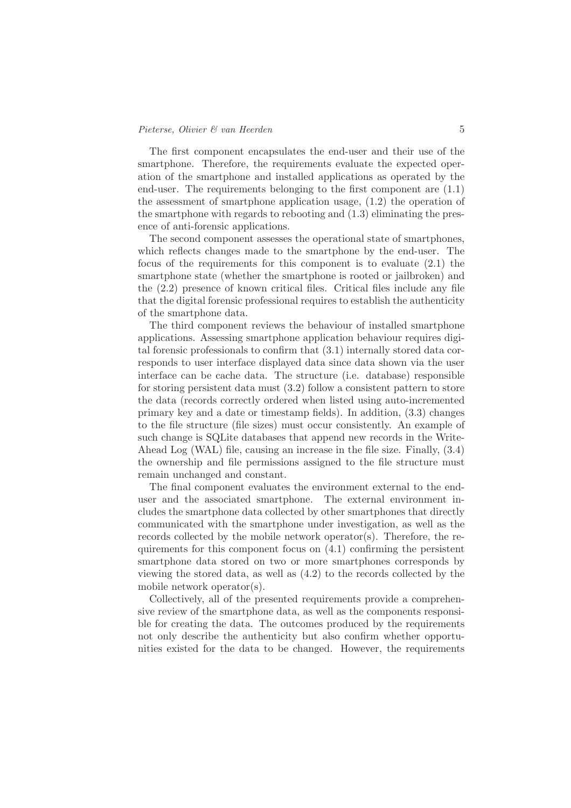The first component encapsulates the end-user and their use of the smartphone. Therefore, the requirements evaluate the expected operation of the smartphone and installed applications as operated by the end-user. The requirements belonging to the first component are (1.1) the assessment of smartphone application usage, (1.2) the operation of the smartphone with regards to rebooting and (1.3) eliminating the presence of anti-forensic applications.

The second component assesses the operational state of smartphones, which reflects changes made to the smartphone by the end-user. The focus of the requirements for this component is to evaluate (2.1) the smartphone state (whether the smartphone is rooted or jailbroken) and the (2.2) presence of known critical files. Critical files include any file that the digital forensic professional requires to establish the authenticity of the smartphone data.

The third component reviews the behaviour of installed smartphone applications. Assessing smartphone application behaviour requires digital forensic professionals to confirm that (3.1) internally stored data corresponds to user interface displayed data since data shown via the user interface can be cache data. The structure (i.e. database) responsible for storing persistent data must (3.2) follow a consistent pattern to store the data (records correctly ordered when listed using auto-incremented primary key and a date or timestamp fields). In addition, (3.3) changes to the file structure (file sizes) must occur consistently. An example of such change is SQLite databases that append new records in the Write-Ahead Log (WAL) file, causing an increase in the file size. Finally, (3.4) the ownership and file permissions assigned to the file structure must remain unchanged and constant.

The final component evaluates the environment external to the enduser and the associated smartphone. The external environment includes the smartphone data collected by other smartphones that directly communicated with the smartphone under investigation, as well as the records collected by the mobile network operator(s). Therefore, the requirements for this component focus on (4.1) confirming the persistent smartphone data stored on two or more smartphones corresponds by viewing the stored data, as well as (4.2) to the records collected by the mobile network operator(s).

Collectively, all of the presented requirements provide a comprehensive review of the smartphone data, as well as the components responsible for creating the data. The outcomes produced by the requirements not only describe the authenticity but also confirm whether opportunities existed for the data to be changed. However, the requirements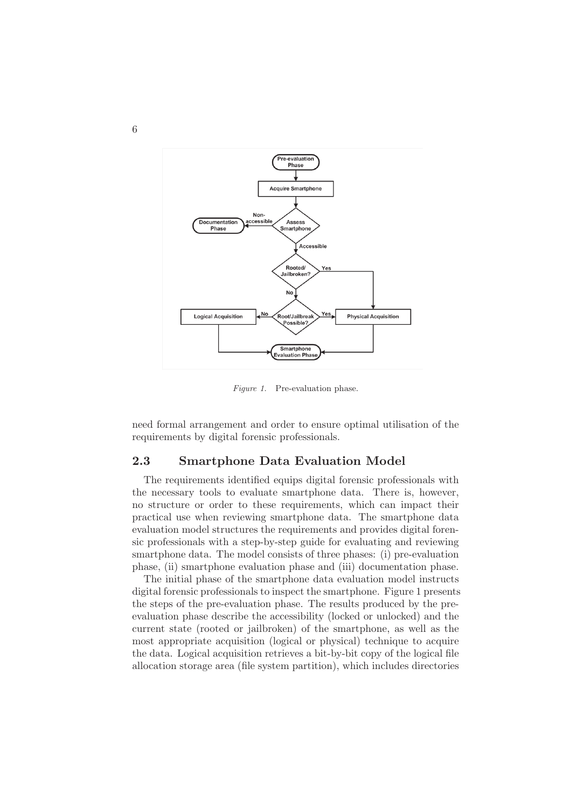

*Figure 1.* Pre-evaluation phase.

need formal arrangement and order to ensure optimal utilisation of the requirements by digital forensic professionals.

# 2.3 Smartphone Data Evaluation Model

The requirements identified equips digital forensic professionals with the necessary tools to evaluate smartphone data. There is, however, no structure or order to these requirements, which can impact their practical use when reviewing smartphone data. The smartphone data evaluation model structures the requirements and provides digital forensic professionals with a step-by-step guide for evaluating and reviewing smartphone data. The model consists of three phases: (i) pre-evaluation phase, (ii) smartphone evaluation phase and (iii) documentation phase.

The initial phase of the smartphone data evaluation model instructs digital forensic professionals to inspect the smartphone. Figure 1 presents the steps of the pre-evaluation phase. The results produced by the preevaluation phase describe the accessibility (locked or unlocked) and the current state (rooted or jailbroken) of the smartphone, as well as the most appropriate acquisition (logical or physical) technique to acquire the data. Logical acquisition retrieves a bit-by-bit copy of the logical file allocation storage area (file system partition), which includes directories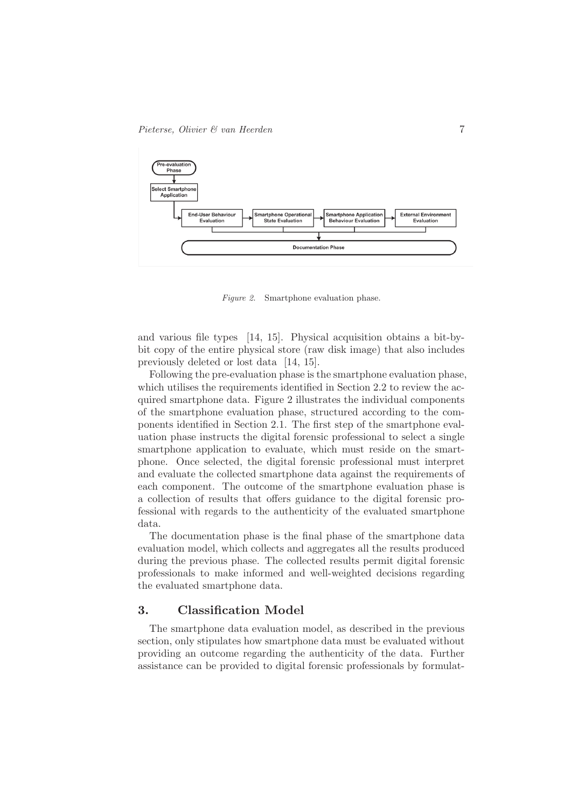

*Figure 2.* Smartphone evaluation phase.

and various file types [14, 15]. Physical acquisition obtains a bit-bybit copy of the entire physical store (raw disk image) that also includes previously deleted or lost data [14, 15].

Following the pre-evaluation phase is the smartphone evaluation phase, which utilises the requirements identified in Section 2.2 to review the acquired smartphone data. Figure 2 illustrates the individual components of the smartphone evaluation phase, structured according to the components identified in Section 2.1. The first step of the smartphone evaluation phase instructs the digital forensic professional to select a single smartphone application to evaluate, which must reside on the smartphone. Once selected, the digital forensic professional must interpret and evaluate the collected smartphone data against the requirements of each component. The outcome of the smartphone evaluation phase is a collection of results that offers guidance to the digital forensic professional with regards to the authenticity of the evaluated smartphone data.

The documentation phase is the final phase of the smartphone data evaluation model, which collects and aggregates all the results produced during the previous phase. The collected results permit digital forensic professionals to make informed and well-weighted decisions regarding the evaluated smartphone data.

#### 3. Classification Model

The smartphone data evaluation model, as described in the previous section, only stipulates how smartphone data must be evaluated without providing an outcome regarding the authenticity of the data. Further assistance can be provided to digital forensic professionals by formulat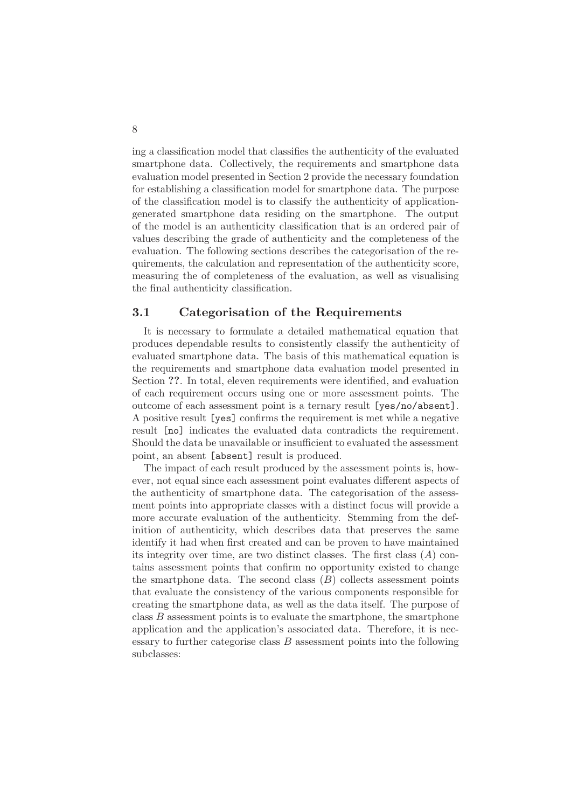ing a classification model that classifies the authenticity of the evaluated smartphone data. Collectively, the requirements and smartphone data evaluation model presented in Section 2 provide the necessary foundation for establishing a classification model for smartphone data. The purpose of the classification model is to classify the authenticity of applicationgenerated smartphone data residing on the smartphone. The output of the model is an authenticity classification that is an ordered pair of values describing the grade of authenticity and the completeness of the evaluation. The following sections describes the categorisation of the requirements, the calculation and representation of the authenticity score, measuring the of completeness of the evaluation, as well as visualising the final authenticity classification.

#### 3.1 Categorisation of the Requirements

It is necessary to formulate a detailed mathematical equation that produces dependable results to consistently classify the authenticity of evaluated smartphone data. The basis of this mathematical equation is the requirements and smartphone data evaluation model presented in Section ??. In total, eleven requirements were identified, and evaluation of each requirement occurs using one or more assessment points. The outcome of each assessment point is a ternary result [yes/no/absent]. A positive result [yes] confirms the requirement is met while a negative result [no] indicates the evaluated data contradicts the requirement. Should the data be unavailable or insufficient to evaluated the assessment point, an absent [absent] result is produced.

The impact of each result produced by the assessment points is, however, not equal since each assessment point evaluates different aspects of the authenticity of smartphone data. The categorisation of the assessment points into appropriate classes with a distinct focus will provide a more accurate evaluation of the authenticity. Stemming from the definition of authenticity, which describes data that preserves the same identify it had when first created and can be proven to have maintained its integrity over time, are two distinct classes. The first class  $(A)$  contains assessment points that confirm no opportunity existed to change the smartphone data. The second class  $(B)$  collects assessment points that evaluate the consistency of the various components responsible for creating the smartphone data, as well as the data itself. The purpose of class  $B$  assessment points is to evaluate the smartphone, the smartphone application and the application's associated data. Therefore, it is necessary to further categorise class  $B$  assessment points into the following subclasses: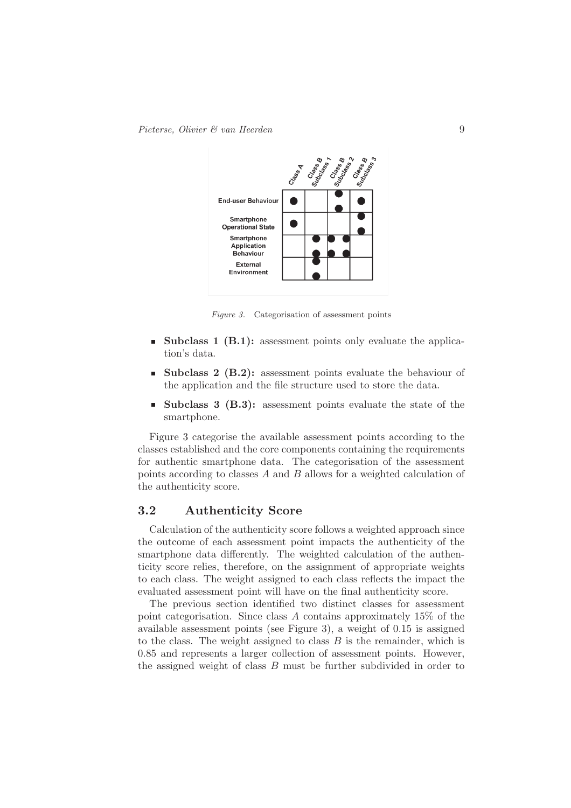

*Figure 3.* Categorisation of assessment points

- **Subclass 1 (B.1):** assessment points only evaluate the application's data.
- **Subclass 2 (B.2):** assessment points evaluate the behaviour of the application and the file structure used to store the data.
- **Subclass 3 (B.3):** assessment points evaluate the state of the smartphone.

Figure 3 categorise the available assessment points according to the classes established and the core components containing the requirements for authentic smartphone data. The categorisation of the assessment points according to classes A and B allows for a weighted calculation of the authenticity score.

#### 3.2 Authenticity Score

Calculation of the authenticity score follows a weighted approach since the outcome of each assessment point impacts the authenticity of the smartphone data differently. The weighted calculation of the authenticity score relies, therefore, on the assignment of appropriate weights to each class. The weight assigned to each class reflects the impact the evaluated assessment point will have on the final authenticity score.

The previous section identified two distinct classes for assessment point categorisation. Since class A contains approximately 15% of the available assessment points (see Figure 3), a weight of 0.15 is assigned to the class. The weight assigned to class  $B$  is the remainder, which is 0.85 and represents a larger collection of assessment points. However, the assigned weight of class  $B$  must be further subdivided in order to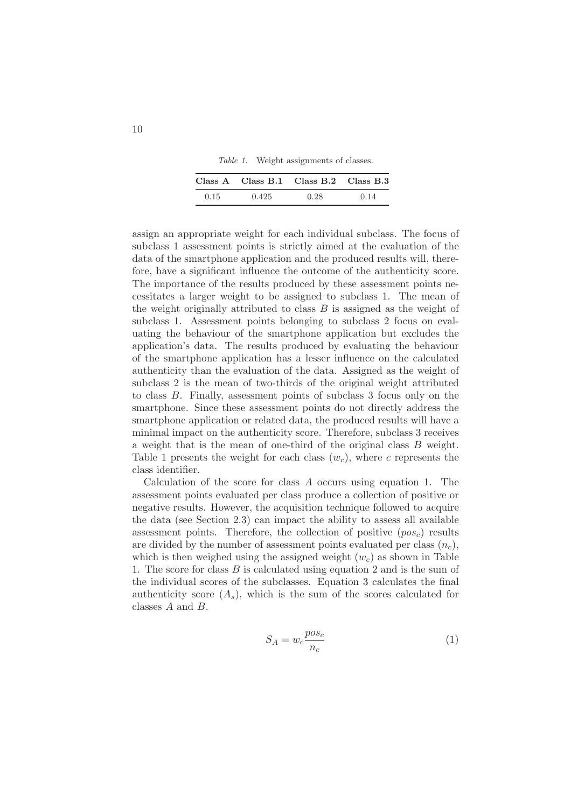*Table 1.* Weight assignments of classes.

|      | $Class A$ $Class B.1$ $Class B.2$ $Class B.3$ |      |      |
|------|-----------------------------------------------|------|------|
| 0.15 | 0.425                                         | 0.28 | 0.14 |

assign an appropriate weight for each individual subclass. The focus of subclass 1 assessment points is strictly aimed at the evaluation of the data of the smartphone application and the produced results will, therefore, have a significant influence the outcome of the authenticity score. The importance of the results produced by these assessment points necessitates a larger weight to be assigned to subclass 1. The mean of the weight originally attributed to class  $B$  is assigned as the weight of subclass 1. Assessment points belonging to subclass 2 focus on evaluating the behaviour of the smartphone application but excludes the application's data. The results produced by evaluating the behaviour of the smartphone application has a lesser influence on the calculated authenticity than the evaluation of the data. Assigned as the weight of subclass 2 is the mean of two-thirds of the original weight attributed to class B. Finally, assessment points of subclass 3 focus only on the smartphone. Since these assessment points do not directly address the smartphone application or related data, the produced results will have a minimal impact on the authenticity score. Therefore, subclass 3 receives a weight that is the mean of one-third of the original class B weight. Table 1 presents the weight for each class  $(w<sub>c</sub>)$ , where c represents the class identifier.

Calculation of the score for class  $A$  occurs using equation 1. The assessment points evaluated per class produce a collection of positive or negative results. However, the acquisition technique followed to acquire the data (see Section 2.3) can impact the ability to assess all available assessment points. Therefore, the collection of positive  $(p \circ s_c)$  results are divided by the number of assessment points evaluated per class  $(n_c)$ , which is then weighed using the assigned weight  $(w<sub>c</sub>)$  as shown in Table 1. The score for class B is calculated using equation 2 and is the sum of the individual scores of the subclasses. Equation 3 calculates the final authenticity score  $(A_s)$ , which is the sum of the scores calculated for classes A and B.

$$
S_A = w_c \frac{pos_c}{n_c} \tag{1}
$$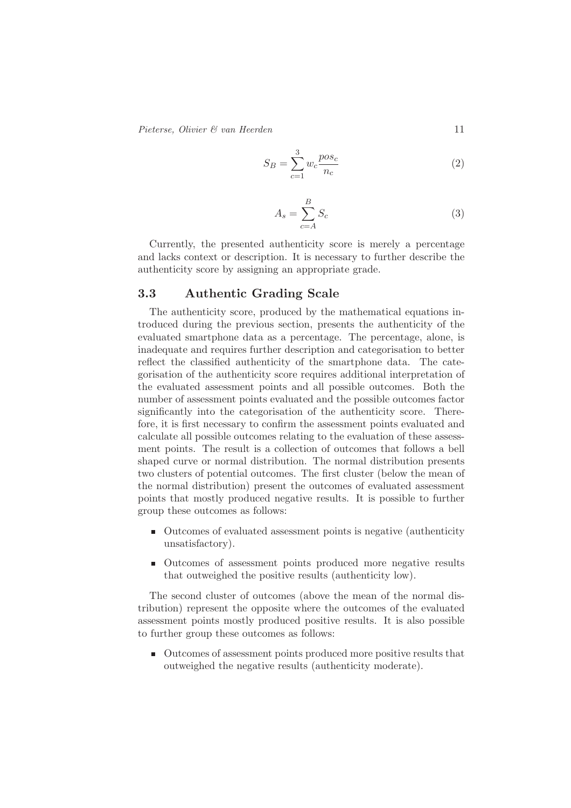*Pieterse, Olivier & van Heerden* 11

$$
S_B = \sum_{c=1}^{3} w_c \frac{pos_c}{n_c} \tag{2}
$$

$$
A_s = \sum_{c=A}^{B} S_c \tag{3}
$$

Currently, the presented authenticity score is merely a percentage and lacks context or description. It is necessary to further describe the authenticity score by assigning an appropriate grade.

#### 3.3 Authentic Grading Scale

The authenticity score, produced by the mathematical equations introduced during the previous section, presents the authenticity of the evaluated smartphone data as a percentage. The percentage, alone, is inadequate and requires further description and categorisation to better reflect the classified authenticity of the smartphone data. The categorisation of the authenticity score requires additional interpretation of the evaluated assessment points and all possible outcomes. Both the number of assessment points evaluated and the possible outcomes factor significantly into the categorisation of the authenticity score. Therefore, it is first necessary to confirm the assessment points evaluated and calculate all possible outcomes relating to the evaluation of these assessment points. The result is a collection of outcomes that follows a bell shaped curve or normal distribution. The normal distribution presents two clusters of potential outcomes. The first cluster (below the mean of the normal distribution) present the outcomes of evaluated assessment points that mostly produced negative results. It is possible to further group these outcomes as follows:

- Outcomes of evaluated assessment points is negative (authenticity unsatisfactory).
- Outcomes of assessment points produced more negative results that outweighed the positive results (authenticity low).

The second cluster of outcomes (above the mean of the normal distribution) represent the opposite where the outcomes of the evaluated assessment points mostly produced positive results. It is also possible to further group these outcomes as follows:

■ Outcomes of assessment points produced more positive results that outweighed the negative results (authenticity moderate).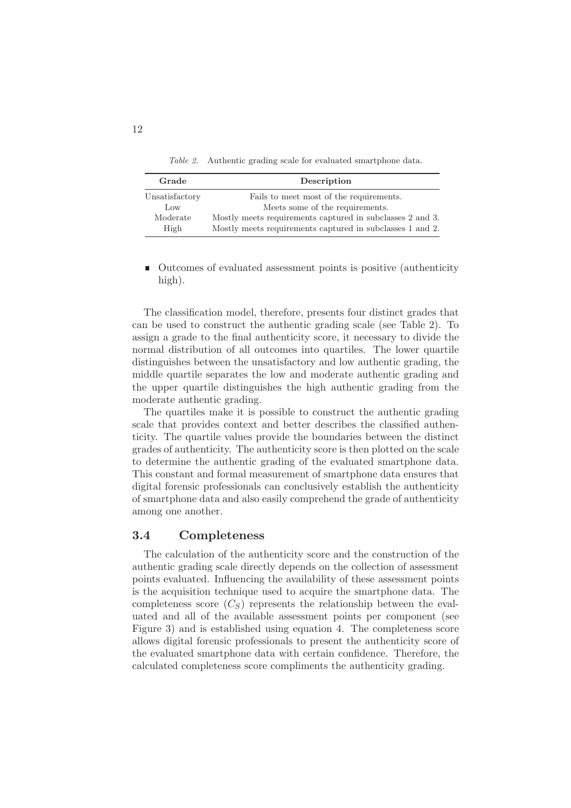*Table 2.* Authentic grading scale for evaluated smartphone data.

| Grade          | Description                                               |  |
|----------------|-----------------------------------------------------------|--|
| Unsatisfactory | Fails to meet most of the requirements.                   |  |
| Low            | Meets some of the requirements.                           |  |
| Moderate       | Mostly meets requirements captured in subclasses 2 and 3. |  |
| High           | Mostly meets requirements captured in subclasses 1 and 2. |  |

Outcomes of evaluated assessment points is positive (authenticity high).

The classification model, therefore, presents four distinct grades that can be used to construct the authentic grading scale (see Table 2). To assign a grade to the final authenticity score, it necessary to divide the normal distribution of all outcomes into quartiles. The lower quartile distinguishes between the unsatisfactory and low authentic grading, the middle quartile separates the low and moderate authentic grading and the upper quartile distinguishes the high authentic grading from the moderate authentic grading.

The quartiles make it is possible to construct the authentic grading scale that provides context and better describes the classified authenticity. The quartile values provide the boundaries between the distinct grades of authenticity. The authenticity score is then plotted on the scale to determine the authentic grading of the evaluated smartphone data. This constant and formal measurement of smartphone data ensures that digital forensic professionals can conclusively establish the authenticity of smartphone data and also easily comprehend the grade of authenticity among one another.

#### 3.4 Completeness

The calculation of the authenticity score and the construction of the authentic grading scale directly depends on the collection of assessment points evaluated. Influencing the availability of these assessment points is the acquisition technique used to acquire the smartphone data. The completeness score  $(C_S)$  represents the relationship between the evaluated and all of the available assessment points per component (see Figure 3) and is established using equation 4. The completeness score allows digital forensic professionals to present the authenticity score of the evaluated smartphone data with certain confidence. Therefore, the calculated completeness score compliments the authenticity grading.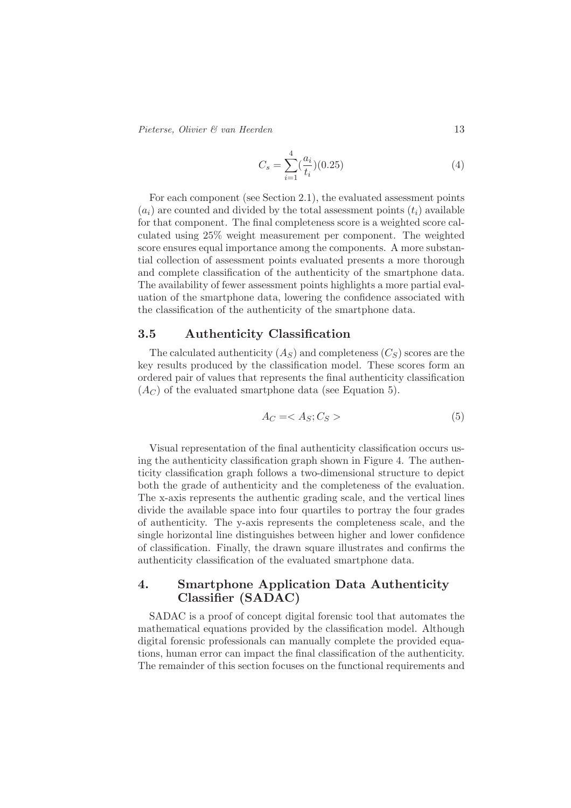*Pieterse, Olivier & van Heerden* 13

$$
C_s = \sum_{i=1}^{4} \left(\frac{a_i}{t_i}\right) (0.25)
$$
\n<sup>(4)</sup>

For each component (see Section 2.1), the evaluated assessment points  $(a_i)$  are counted and divided by the total assessment points  $(t_i)$  available for that component. The final completeness score is a weighted score calculated using 25% weight measurement per component. The weighted score ensures equal importance among the components. A more substantial collection of assessment points evaluated presents a more thorough and complete classification of the authenticity of the smartphone data. The availability of fewer assessment points highlights a more partial evaluation of the smartphone data, lowering the confidence associated with the classification of the authenticity of the smartphone data.

#### 3.5 Authenticity Classification

The calculated authenticity  $(A<sub>S</sub>)$  and completeness  $(C<sub>S</sub>)$  scores are the key results produced by the classification model. These scores form an ordered pair of values that represents the final authenticity classification  $(A_C)$  of the evaluated smartphone data (see Equation 5).

$$
A_C = \langle A_S; C_S \rangle \tag{5}
$$

Visual representation of the final authenticity classification occurs using the authenticity classification graph shown in Figure 4. The authenticity classification graph follows a two-dimensional structure to depict both the grade of authenticity and the completeness of the evaluation. The x-axis represents the authentic grading scale, and the vertical lines divide the available space into four quartiles to portray the four grades of authenticity. The y-axis represents the completeness scale, and the single horizontal line distinguishes between higher and lower confidence of classification. Finally, the drawn square illustrates and confirms the authenticity classification of the evaluated smartphone data.

## 4. Smartphone Application Data Authenticity Classifier (SADAC)

SADAC is a proof of concept digital forensic tool that automates the mathematical equations provided by the classification model. Although digital forensic professionals can manually complete the provided equations, human error can impact the final classification of the authenticity. The remainder of this section focuses on the functional requirements and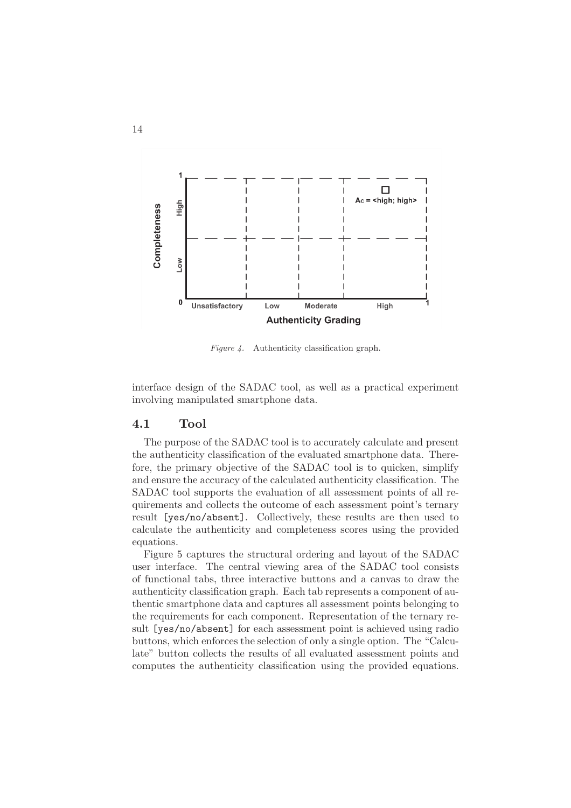

*Figure 4.* Authenticity classification graph.

interface design of the SADAC tool, as well as a practical experiment involving manipulated smartphone data.

#### 4.1 Tool

The purpose of the SADAC tool is to accurately calculate and present the authenticity classification of the evaluated smartphone data. Therefore, the primary objective of the SADAC tool is to quicken, simplify and ensure the accuracy of the calculated authenticity classification. The SADAC tool supports the evaluation of all assessment points of all requirements and collects the outcome of each assessment point's ternary result [yes/no/absent]. Collectively, these results are then used to calculate the authenticity and completeness scores using the provided equations.

Figure 5 captures the structural ordering and layout of the SADAC user interface. The central viewing area of the SADAC tool consists of functional tabs, three interactive buttons and a canvas to draw the authenticity classification graph. Each tab represents a component of authentic smartphone data and captures all assessment points belonging to the requirements for each component. Representation of the ternary result [yes/no/absent] for each assessment point is achieved using radio buttons, which enforces the selection of only a single option. The "Calculate" button collects the results of all evaluated assessment points and computes the authenticity classification using the provided equations.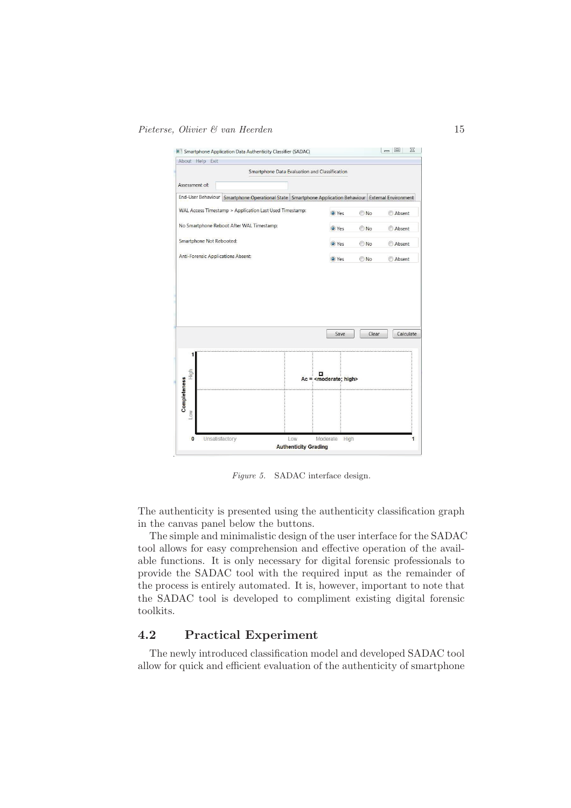

*Figure 5.* SADAC interface design.

The authenticity is presented using the authenticity classification graph in the canvas panel below the buttons.

The simple and minimalistic design of the user interface for the SADAC tool allows for easy comprehension and effective operation of the available functions. It is only necessary for digital forensic professionals to provide the SADAC tool with the required input as the remainder of the process is entirely automated. It is, however, important to note that the SADAC tool is developed to compliment existing digital forensic toolkits.

## 4.2 Practical Experiment

The newly introduced classification model and developed SADAC tool allow for quick and efficient evaluation of the authenticity of smartphone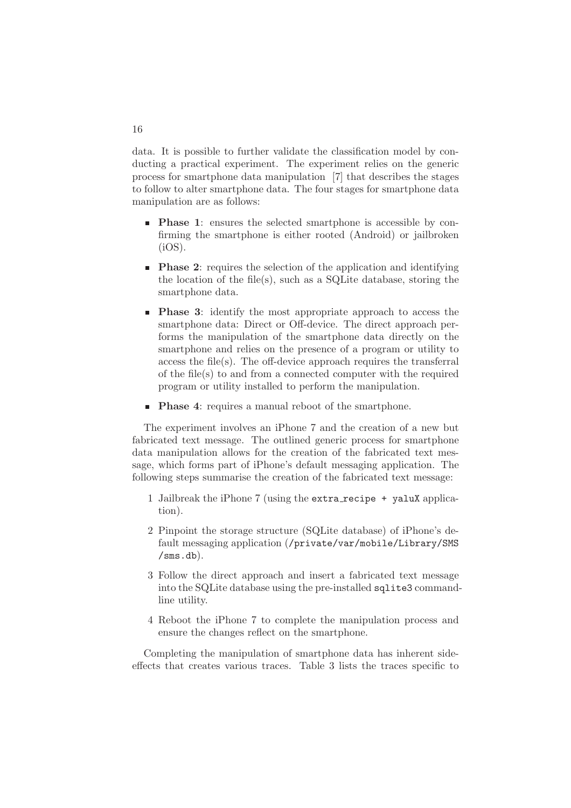data. It is possible to further validate the classification model by conducting a practical experiment. The experiment relies on the generic process for smartphone data manipulation [7] that describes the stages to follow to alter smartphone data. The four stages for smartphone data manipulation are as follows:

- **Phase 1:** ensures the selected smartphone is accessible by confirming the smartphone is either rooted (Android) or jailbroken  $(iOS)$ .
- **Phase 2:** requires the selection of the application and identifying the location of the file(s), such as a SQLite database, storing the smartphone data.
- **Phase 3:** identify the most appropriate approach to access the smartphone data: Direct or Off-device. The direct approach performs the manipulation of the smartphone data directly on the smartphone and relies on the presence of a program or utility to access the file(s). The off-device approach requires the transferral of the file(s) to and from a connected computer with the required program or utility installed to perform the manipulation.
- **Phase 4:** requires a manual reboot of the smartphone.

The experiment involves an iPhone 7 and the creation of a new but fabricated text message. The outlined generic process for smartphone data manipulation allows for the creation of the fabricated text message, which forms part of iPhone's default messaging application. The following steps summarise the creation of the fabricated text message:

- 1 Jailbreak the iPhone 7 (using the extra recipe + yaluX application).
- 2 Pinpoint the storage structure (SQLite database) of iPhone's default messaging application (/private/var/mobile/Library/SMS /sms.db).
- 3 Follow the direct approach and insert a fabricated text message into the SQLite database using the pre-installed sqlite3 commandline utility.
- 4 Reboot the iPhone 7 to complete the manipulation process and ensure the changes reflect on the smartphone.

Completing the manipulation of smartphone data has inherent sideeffects that creates various traces. Table 3 lists the traces specific to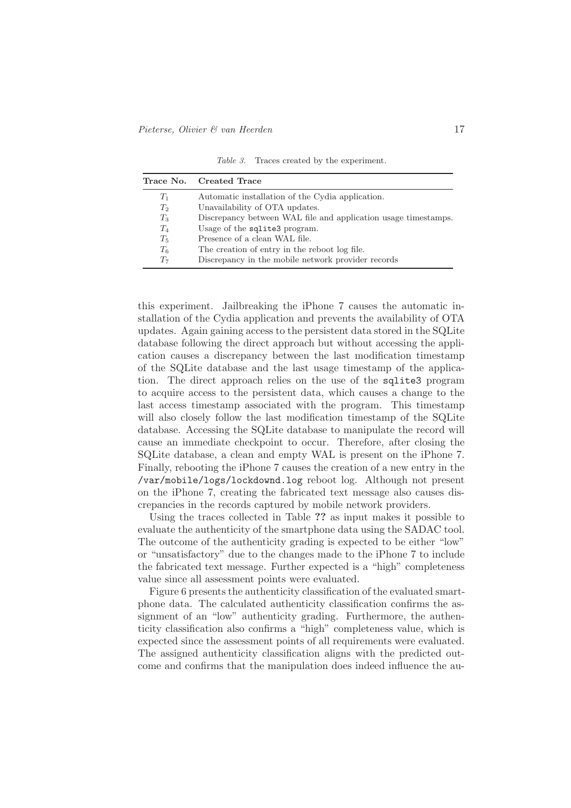*Table 3.* Traces created by the experiment.

|       | Trace No. Created Trace                                        |
|-------|----------------------------------------------------------------|
| $T_1$ | Automatic installation of the Cydia application.               |
| $T_2$ | Unavailability of OTA updates.                                 |
| $T_3$ | Discrepancy between WAL file and application usage timestamps. |
| $T_4$ | Usage of the sqlite3 program.                                  |
| $T_5$ | Presence of a clean WAL file.                                  |
| $T_6$ | The creation of entry in the reboot log file.                  |
| $T_7$ | Discrepancy in the mobile network provider records             |

this experiment. Jailbreaking the iPhone 7 causes the automatic installation of the Cydia application and prevents the availability of OTA updates. Again gaining access to the persistent data stored in the SQLite database following the direct approach but without accessing the application causes a discrepancy between the last modification timestamp of the SQLite database and the last usage timestamp of the application. The direct approach relies on the use of the sqlite3 program to acquire access to the persistent data, which causes a change to the last access timestamp associated with the program. This timestamp will also closely follow the last modification timestamp of the SQLite database. Accessing the SQLite database to manipulate the record will cause an immediate checkpoint to occur. Therefore, after closing the SQLite database, a clean and empty WAL is present on the iPhone 7. Finally, rebooting the iPhone 7 causes the creation of a new entry in the /var/mobile/logs/lockdownd.log reboot log. Although not present on the iPhone 7, creating the fabricated text message also causes discrepancies in the records captured by mobile network providers.

Using the traces collected in Table ?? as input makes it possible to evaluate the authenticity of the smartphone data using the SADAC tool. The outcome of the authenticity grading is expected to be either "low" or "unsatisfactory" due to the changes made to the iPhone 7 to include the fabricated text message. Further expected is a "high" completeness value since all assessment points were evaluated.

Figure 6 presents the authenticity classification of the evaluated smartphone data. The calculated authenticity classification confirms the assignment of an "low" authenticity grading. Furthermore, the authenticity classification also confirms a "high" completeness value, which is expected since the assessment points of all requirements were evaluated. The assigned authenticity classification aligns with the predicted outcome and confirms that the manipulation does indeed influence the au-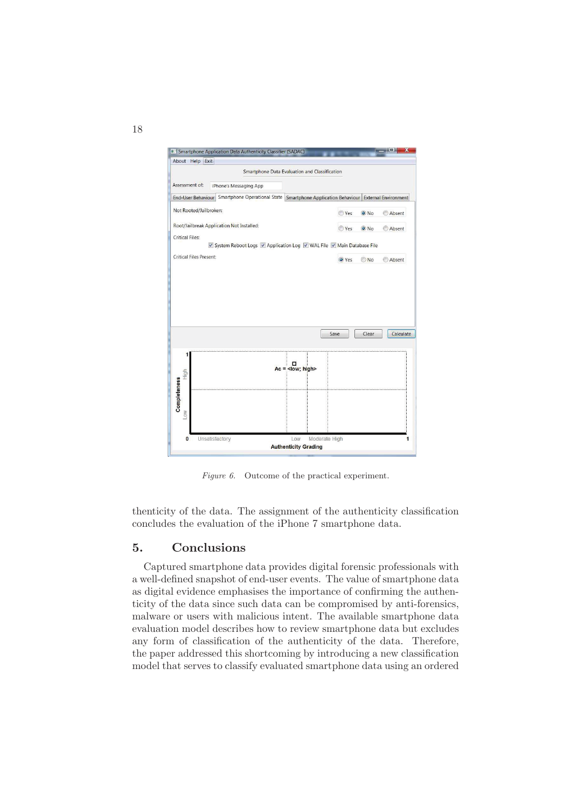

*Figure 6.* Outcome of the practical experiment.

thenticity of the data. The assignment of the authenticity classification concludes the evaluation of the iPhone 7 smartphone data.

### 5. Conclusions

Captured smartphone data provides digital forensic professionals with a well-defined snapshot of end-user events. The value of smartphone data as digital evidence emphasises the importance of confirming the authenticity of the data since such data can be compromised by anti-forensics, malware or users with malicious intent. The available smartphone data evaluation model describes how to review smartphone data but excludes any form of classification of the authenticity of the data. Therefore, the paper addressed this shortcoming by introducing a new classification model that serves to classify evaluated smartphone data using an ordered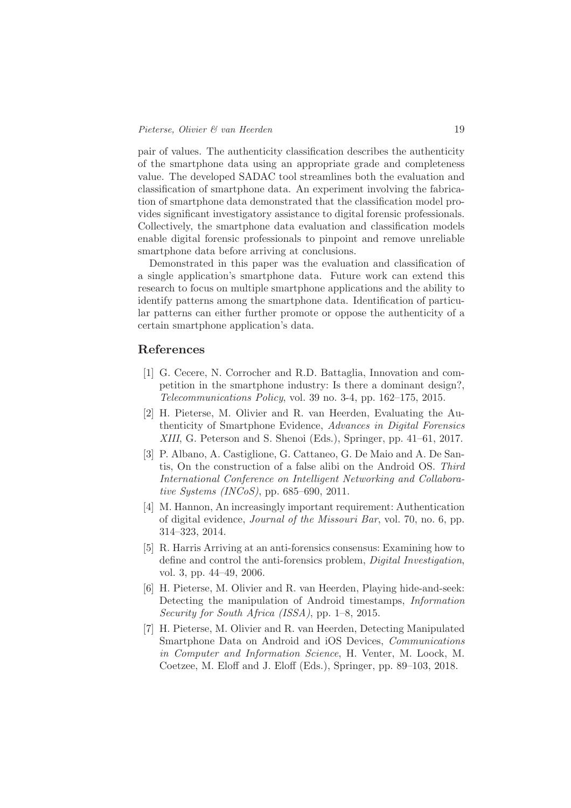pair of values. The authenticity classification describes the authenticity of the smartphone data using an appropriate grade and completeness value. The developed SADAC tool streamlines both the evaluation and classification of smartphone data. An experiment involving the fabrication of smartphone data demonstrated that the classification model provides significant investigatory assistance to digital forensic professionals. Collectively, the smartphone data evaluation and classification models enable digital forensic professionals to pinpoint and remove unreliable smartphone data before arriving at conclusions.

Demonstrated in this paper was the evaluation and classification of a single application's smartphone data. Future work can extend this research to focus on multiple smartphone applications and the ability to identify patterns among the smartphone data. Identification of particular patterns can either further promote or oppose the authenticity of a certain smartphone application's data.

#### References

- [1] G. Cecere, N. Corrocher and R.D. Battaglia, Innovation and competition in the smartphone industry: Is there a dominant design?, *Telecommunications Policy*, vol. 39 no. 3-4, pp. 162–175, 2015.
- [2] H. Pieterse, M. Olivier and R. van Heerden, Evaluating the Authenticity of Smartphone Evidence, *Advances in Digital Forensics XIII*, G. Peterson and S. Shenoi (Eds.), Springer, pp. 41–61, 2017.
- [3] P. Albano, A. Castiglione, G. Cattaneo, G. De Maio and A. De Santis, On the construction of a false alibi on the Android OS. *Third International Conference on Intelligent Networking and Collaborative Systems (INCoS)*, pp. 685–690, 2011.
- [4] M. Hannon, An increasingly important requirement: Authentication of digital evidence, *Journal of the Missouri Bar*, vol. 70, no. 6, pp. 314–323, 2014.
- [5] R. Harris Arriving at an anti-forensics consensus: Examining how to define and control the anti-forensics problem, *Digital Investigation*, vol. 3, pp. 44–49, 2006.
- [6] H. Pieterse, M. Olivier and R. van Heerden, Playing hide-and-seek: Detecting the manipulation of Android timestamps, *Information Security for South Africa (ISSA)*, pp. 1–8, 2015.
- [7] H. Pieterse, M. Olivier and R. van Heerden, Detecting Manipulated Smartphone Data on Android and iOS Devices, *Communications in Computer and Information Science*, H. Venter, M. Loock, M. Coetzee, M. Eloff and J. Eloff (Eds.), Springer, pp. 89–103, 2018.